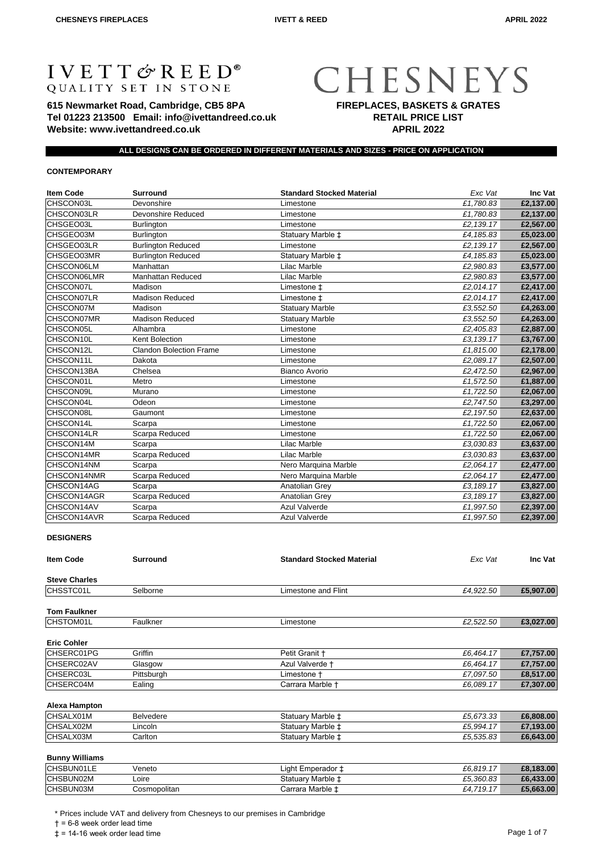# **IVETT & REED®**<br>QUALITY SET IN STONE

**615 Newmarket Road, Cambridge, CB5 8PA Tel 01223 213500 Email: info@ivettandreed.co.uk Website: www.ivettandreed.co.uk**

# CHESNEYS **FIREPLACES, BASKETS & GRATES RETAIL PRICE LIST**

**APRIL 2022**

#### **ALL DESIGNS CAN BE ORDERED IN DIFFERENT MATERIALS AND SIZES - PRICE ON APPLICATION**

# **CONTEMPORARY**

| <b>Item Code</b> | <b>Surround</b>                | <b>Standard Stocked Material</b> | Exc Vat   | Inc Vat   |
|------------------|--------------------------------|----------------------------------|-----------|-----------|
| CHSCON03L        | Devonshire                     | Limestone                        | £1,780.83 | £2,137.00 |
| CHSCON03LR       | Devonshire Reduced             | Limestone                        | £1,780.83 | £2,137.00 |
| CHSGEO03L        | <b>Burlington</b>              | Limestone                        | £2,139.17 | £2,567.00 |
| CHSGEO03M        | Burlington                     | Statuary Marble $\ddagger$       | £4,185.83 | £5,023.00 |
| CHSGEO03LR       | <b>Burlington Reduced</b>      | Limestone                        | £2,139.17 | £2,567.00 |
| CHSGEO03MR       | <b>Burlington Reduced</b>      | Statuary Marble $\ddagger$       | £4,185.83 | £5,023.00 |
| CHSCON06LM       | Manhattan                      | Lilac Marble                     | £2,980.83 | £3,577.00 |
| CHSCON06LMR      | <b>Manhattan Reduced</b>       | Lilac Marble                     | £2,980.83 | £3,577.00 |
| CHSCON07L        | Madison                        | Limestone ‡                      | £2,014.17 | £2,417.00 |
| CHSCON07LR       | <b>Madison Reduced</b>         | Limestone ±                      | £2,014.17 | £2,417.00 |
| CHSCON07M        | Madison                        | <b>Statuary Marble</b>           | £3,552.50 | £4,263.00 |
| CHSCON07MR       | <b>Madison Reduced</b>         | <b>Statuary Marble</b>           | £3,552.50 | £4,263.00 |
| CHSCON05L        | Alhambra                       | Limestone                        | £2,405.83 | £2,887.00 |
| CHSCON10L        | Kent Bolection                 | Limestone                        | £3,139.17 | £3,767.00 |
| CHSCON12L        | <b>Clandon Bolection Frame</b> | Limestone                        | £1,815.00 | £2,178.00 |
| CHSCON11L        | Dakota                         | Limestone                        | £2,089.17 | £2,507.00 |
| CHSCON13BA       | Chelsea                        | Bianco Avorio                    | £2,472.50 | £2,967.00 |
| CHSCON01L        | Metro                          | Limestone                        | £1,572.50 | £1,887.00 |
| CHSCON09L        | Murano                         | Limestone                        | £1,722.50 | £2,067.00 |
| CHSCON04L        | Odeon                          | Limestone                        | £2,747.50 | £3,297.00 |
| CHSCON08L        | Gaumont                        | Limestone                        | £2,197.50 | £2,637.00 |
| CHSCON14L        | Scarpa                         | Limestone                        | £1,722.50 | £2,067.00 |
| CHSCON14LR       | Scarpa Reduced                 | Limestone                        | £1,722.50 | £2,067.00 |
| CHSCON14M        | Scarpa                         | Lilac Marble                     | £3,030.83 | £3,637.00 |
| CHSCON14MR       | Scarpa Reduced                 | Lilac Marble                     | £3,030.83 | £3,637.00 |
| CHSCON14NM       | Scarpa                         | Nero Marquina Marble             | £2,064.17 | £2,477.00 |
| CHSCON14NMR      | Scarpa Reduced                 | Nero Marquina Marble             | £2,064.17 | £2,477.00 |
| CHSCON14AG       | Scarpa                         | Anatolian Grey                   | £3,189.17 | £3,827.00 |
| CHSCON14AGR      | Scarpa Reduced                 | Anatolian Grey                   | £3,189.17 | £3,827.00 |
| CHSCON14AV       | Scarpa                         | <b>Azul Valverde</b>             | £1,997.50 | £2,397.00 |
| CHSCON14AVR      | Scarpa Reduced                 | <b>Azul Valverde</b>             | £1,997.50 | £2,397.00 |

#### **DESIGNERS**

| <b>Item Code</b>     | <b>Surround</b> | <b>Standard Stocked Material</b> | Exc Vat   | Inc Vat   |
|----------------------|-----------------|----------------------------------|-----------|-----------|
| <b>Steve Charles</b> |                 |                                  |           |           |
| CHSSTC01L            | Selborne        | Limestone and Flint              | £4,922.50 | £5,907.00 |
| <b>Tom Faulkner</b>  |                 |                                  |           |           |
| CHSTOM01L            | Faulkner        | Limestone                        | £2,522.50 | £3,027.00 |
| <b>Eric Cohler</b>   |                 |                                  |           |           |
| <b>CHSERC01PG</b>    | Griffin         | Petit Granit +                   | £6,464.17 | £7,757.00 |
| <b>ICHSERC02AV</b>   | Glasgow         | Azul Valverde +                  | £6,464.17 | £7,757.00 |
| CHSERC03L            | Pittsburgh      | Limestone +                      | £7,097.50 | £8,517.00 |
| CHSERC04M            | Ealing          | Carrara Marble +                 | £6,089.17 | £7,307.00 |

# **Alexa Hampton**

| CHSALX01M | <b>Belvedere</b> | Statuary Marble ± | $C$ $F$ $R$ $T$ $2$ $3$ $9$<br>20.073.33 | £6,808,00 |
|-----------|------------------|-------------------|------------------------------------------|-----------|
| CHSALX02M | ∟incoln          | Statuary Marble ± | $\rightarrow$<br>$C_{5.994}$             | £7.193.00 |
| CHSALX03M | Carltor          | Statuary Marble ± | £5.535.83                                | £6,643.00 |

# **Bunny Williams**

| <b>CHSBUN01LE</b> | Veneto       | £6.819.17<br>Light Emperador + | £8.183.00 |
|-------------------|--------------|--------------------------------|-----------|
| CHSBUN02M         | Loire        | Statuary Marble ±<br>£5,360.83 | £6,433.00 |
| CHSBUN03M         | Cosmopolitan | £4.719.17<br>Carrara Marble ±  | £5,663,00 |

\* Prices include VAT and delivery from Chesneys to our premises in Cambridge

† = 6-8 week order lead time

 $\ddagger$  = 14-16 week order lead time  $\ddagger$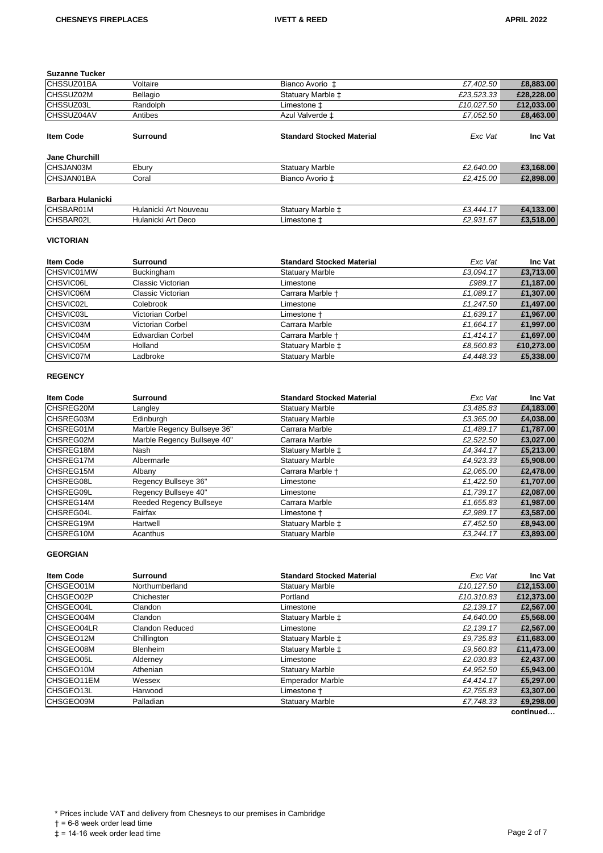**Suzanne Tucker**

| <b>CHSSUZ01BA</b> | Voltaire        | Bianco Avorio ±                  | £7,402.50  | £8,883.00  |
|-------------------|-----------------|----------------------------------|------------|------------|
| <b>CHSSUZ02M</b>  | Bellagio        | Statuary Marble $\pm$            | £23,523.33 | £28,228.00 |
| CHSSUZ03L         | Randolph        | Limestone ‡                      | £10,027.50 | £12,033.00 |
| CHSSUZ04AV        | Antibes         | Azul Valverde ±                  | £7,052.50  | £8,463.00  |
| <b>Item Code</b>  | <b>Surround</b> | <b>Standard Stocked Material</b> | Exc Vat    | Inc Vat    |
| Jane Churchill    |                 |                                  |            |            |
| CHSJAN03M         | Ebury           | <b>Statuary Marble</b>           | £2,640.00  | £3,168.00  |
| ICHSJAN01BA       | Coral           | Bianco Avorio ‡                  | £2,415.00  | £2,898.00  |
| Barbara Hulanicki |                 |                                  |            |            |

| ICHS <sup>"</sup><br>K∪1M       | Nouveau<br>Hulanicki<br>$\mathbf{r}$<br>$\mathbf{u}$<br>. | ∕ statu <i>a</i><br>: Marble . | $\overline{\phantom{a}}$<br><u>~~</u><br>$\Lambda$<br>$-$ | .00  |
|---------------------------------|-----------------------------------------------------------|--------------------------------|-----------------------------------------------------------|------|
| וחו וחו<br>◡<br>$\cdots$<br>___ | $\Lambda$ ri<br>300<br>Hular<br>micki<br>่ ∪∪<br>¬…       | uone -                         | $\sim$<br>$\sim$<br>$\sim$                                | 3.00 |

# **VICTORIAN**

| <b>Item Code</b> | <b>Surround</b>         | <b>Standard Stocked Material</b> | Exc Vat   | Inc Vat    |
|------------------|-------------------------|----------------------------------|-----------|------------|
| CHSVIC01MW       | Buckingham              | <b>Statuary Marble</b>           | £3,094.17 | £3,713.00  |
| <b>CHSVIC06L</b> | Classic Victorian       | Limestone                        | £989.17   | £1,187.00  |
| <b>CHSVIC06M</b> | Classic Victorian       | Carrara Marble +                 | £1,089.17 | £1,307.00  |
| CHSVIC02L        | Colebrook               | Limestone                        | £1,247.50 | £1,497.00  |
| <b>CHSVIC03L</b> | Victorian Corbel        | Limestone +                      | £1,639.17 | £1,967.00  |
| <b>CHSVIC03M</b> | Victorian Corbel        | Carrara Marble                   | £1,664.17 | £1,997.00  |
| CHSVIC04M        | <b>Edwardian Corbel</b> | Carrara Marble +                 | £1,414.17 | £1,697.00  |
| <b>CHSVIC05M</b> | Holland                 | Statuary Marble ±                | £8,560.83 | £10,273.00 |
| CHSVIC07M        | Ladbroke                | <b>Statuary Marble</b>           | £4,448.33 | £5,338.00  |

#### **REGENCY**

| <b>Item Code</b> | <b>Surround</b>                | <b>Standard Stocked Material</b> | Exc Vat   | <b>Inc Vat</b> |
|------------------|--------------------------------|----------------------------------|-----------|----------------|
| <b>CHSREG20M</b> | Langley                        | <b>Statuary Marble</b>           | £3,485.83 | £4,183.00      |
| <b>CHSREG03M</b> | Edinburgh                      | <b>Statuary Marble</b>           | £3,365.00 | £4,038.00      |
| CHSREG01M        | Marble Regency Bullseye 36"    | Carrara Marble                   | £1,489.17 | £1,787.00      |
| <b>CHSREG02M</b> | Marble Regency Bullseye 40"    | Carrara Marble                   | £2,522.50 | £3,027.00      |
| ICHSREG18M       | Nash                           | Statuary Marble $\pm$            | £4,344.17 | £5,213.00      |
| <b>CHSREG17M</b> | Albermarle                     | <b>Statuary Marble</b>           | £4.923.33 | £5,908.00      |
| <b>CHSREG15M</b> | Albany                         | Carrara Marble +                 | £2,065.00 | £2,478.00      |
| <b>CHSREG08L</b> | Regency Bullseye 36"           | Limestone                        | £1,422.50 | £1,707.00      |
| ICHSREG09L       | Regency Bullseye 40"           | Limestone                        | £1,739.17 | £2,087.00      |
| CHSREG14M        | <b>Reeded Regency Bullseye</b> | Carrara Marble                   | £1,655.83 | £1,987.00      |
| ICHSREG04L       | Fairfax                        | Limestone †                      | £2.989.17 | £3,587.00      |
| <b>CHSREG19M</b> | Hartwell                       | Statuary Marble $\pm$            | £7,452.50 | £8,943.00      |
| <b>CHSREG10M</b> | Acanthus                       | <b>Statuary Marble</b>           | £3.244.17 | £3,893.00      |

#### **GEORGIAN**

| <b>Item Code</b>  | <b>Surround</b>        | <b>Standard Stocked Material</b> | Exc Vat    | Inc Vat         |
|-------------------|------------------------|----------------------------------|------------|-----------------|
| CHSGEO01M         | Northumberland         | <b>Statuary Marble</b>           | £10,127.50 | £12,153.00      |
| CHSGEO02P         | Chichester             | Portland                         | £10,310.83 | £12,373.00      |
| <b>CHSGEO04L</b>  | Clandon                | Limestone                        | £2,139.17  | £2,567.00       |
| <b>CHSGEO04M</b>  | Clandon                | Statuary Marble $\pm$            | £4.640.00  | £5,568.00       |
| <b>CHSGEO04LR</b> | <b>Clandon Reduced</b> | Limestone                        | £2,139.17  | £2,567.00       |
| ICHSGEO12M        | Chillington            | Statuary Marble $\pm$            | £9,735.83  | £11,683.00      |
| CHSGEO08M         | <b>Blenheim</b>        | Statuary Marble $\pm$            | £9,560.83  | £11,473.00      |
| CHSGEO05L         | Alderney               | Limestone                        | £2,030.83  | £2,437.00       |
| CHSGEO10M         | Athenian               | <b>Statuary Marble</b>           | £4,952.50  | £5,943.00       |
| CHSGEO11EM        | Wessex                 | <b>Emperador Marble</b>          | £4.414.17  | £5,297.00       |
| ICHSGEO13L        | Harwood                | Limestone +                      | £2,755.83  | £3,307.00       |
| <b>CHSGEO09M</b>  | Palladian              | <b>Statuary Marble</b>           | £7,748.33  | £9,298.00       |
|                   |                        |                                  |            | المحدد ومناقصهم |

**continued…**

† = 6-8 week order lead time

 $\uparrow$  = 0 members read time<br> $\downarrow$  = 14-16 week order lead time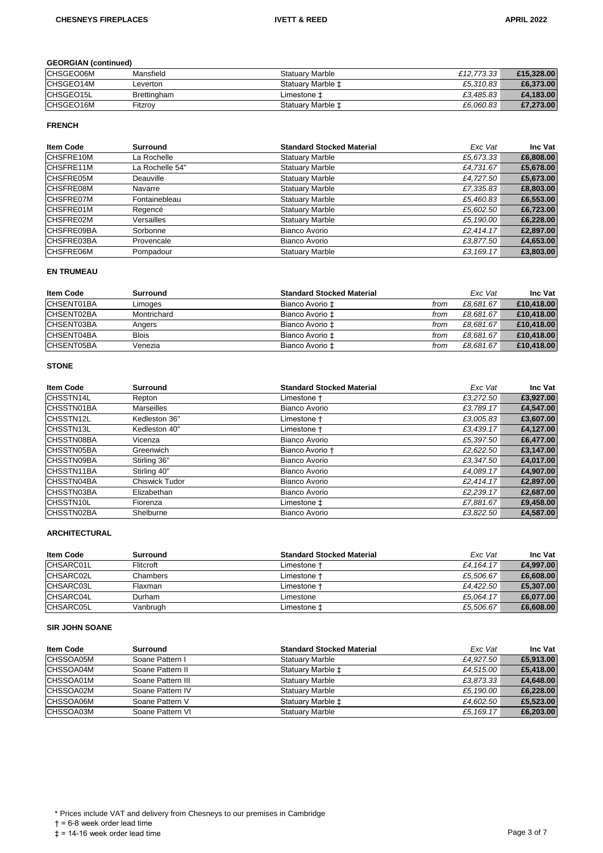# **GEORGIAN (continued)**

| CHSGEO06M        | Mansfield   | Statuarv Marble   | £12.773.33 | £15,328.00 |
|------------------|-------------|-------------------|------------|------------|
| CHSGEO14M        | Leverton    | Statuary Marble ± | £5.310.83  | £6,373,00  |
| <b>CHSGEO15L</b> | Brettingham | Limestone ±       | £3,485.83  | £4.183.00  |
| CHSGEO16M        | Fitzrov     | Statuary Marble ± | £6.060.83  | £7,273.00  |

# **FRENCH**

| <b>Item Code</b>  | <b>Surround</b> | <b>Standard Stocked Material</b> | Exc Vat   | Inc Vat   |
|-------------------|-----------------|----------------------------------|-----------|-----------|
| CHSFRE10M         | La Rochelle     | <b>Statuary Marble</b>           | £5,673.33 | £6,808.00 |
| CHSFRE11M         | La Rochelle 54" | <b>Statuary Marble</b>           | £4,731.67 | £5,678.00 |
| ICHSFRE05M        | Deauville       | <b>Statuary Marble</b>           | £4,727.50 | £5,673.00 |
| <b>CHSFRE08M</b>  | Navarre         | <b>Statuary Marble</b>           | £7,335.83 | £8,803.00 |
| <b>ICHSFRE07M</b> | Fontainebleau   | <b>Statuary Marble</b>           | £5,460.83 | £6,553.00 |
| ICHSFRE01M        | Regencé         | <b>Statuary Marble</b>           | £5,602.50 | £6,723.00 |
| CHSFRE02M         | Versailles      | <b>Statuary Marble</b>           | £5,190.00 | £6,228.00 |
| ICHSFRE09BA       | Sorbonne        | Bianco Avorio                    | £2,414.17 | £2,897.00 |
| CHSFRE03BA        | Provencale      | Bianco Avorio                    | £3,877.50 | £4,653.00 |
| <b>CHSFRE06M</b>  | Pompadour       | <b>Statuary Marble</b>           | £3.169.17 | £3,803.00 |

# **EN TRUMEAU**

| <b>Item Code</b> | Surround     | <b>Standard Stocked Material</b> |      | Exc Vat   | Inc Vat    |
|------------------|--------------|----------------------------------|------|-----------|------------|
| CHSENT01BA       | Limoges      | Bianco Avorio ±                  | from | £8.681.67 | £10,418.00 |
| CHSENT02BA       | Montrichard  | Bianco Avorio ±                  | from | £8.681.67 | £10,418.00 |
| CHSENT03BA       | Angers       | Bianco Avorio ±                  | from | £8.681.67 | £10,418.00 |
| CHSENT04BA       | <b>Blois</b> | Bianco Avorio ±                  | from | £8.681.67 | £10,418.00 |
| CHSENT05BA       | Venezia      | Bianco Avorio ±                  | trom | £8.681.67 | £10,418.00 |

#### **STONE**

| <b>Item Code</b>  | <b>Surround</b>   | <b>Standard Stocked Material</b> | Exc Vat   | Inc Vat   |
|-------------------|-------------------|----------------------------------|-----------|-----------|
| <b>CHSSTN14L</b>  | Repton            | Limestone +                      | £3.272.50 | £3,927.00 |
| ICHSSTN01BA       | <b>Marseilles</b> | Bianco Avorio                    | £3,789.17 | £4,547.00 |
| <b>CHSSTN12L</b>  | Kedleston 36"     | Limestone †                      | £3,005.83 | £3,607.00 |
| <b>CHSSTN13L</b>  | Kedleston 40"     | Limestone +                      | £3,439.17 | £4,127.00 |
| <b>CHSSTN08BA</b> | Vicenza           | Bianco Avorio                    | £5,397.50 | £6,477.00 |
| ICHSSTN05BA       | Greenwich         | Bianco Avorio +                  | £2,622.50 | £3,147.00 |
| <b>CHSSTN09BA</b> | Stirling 36"      | Bianco Avorio                    | £3.347.50 | £4,017.00 |
| ICHSSTN11BA       | Stirling 40"      | Bianco Avorio                    | £4.089.17 | £4,907.00 |
| <b>CHSSTN04BA</b> | Chiswick Tudor    | Bianco Avorio                    | £2,414.17 | £2,897.00 |
| <b>CHSSTN03BA</b> | Elizabethan       | Bianco Avorio                    | £2,239.17 | £2,687.00 |
| <b>CHSSTN10L</b>  | Fiorenza          | Limestone ±                      | £7,881.67 | £9,458.00 |
| CHSSTN02BA        | Shelburne         | Bianco Avorio                    | £3.822.50 | £4.587.00 |

# **ARCHITECTURAL**

| <b>Item Code</b> | Surround  | <b>Standard Stocked Material</b> | Exc Vat   | <b>Inc Vat</b> |
|------------------|-----------|----------------------------------|-----------|----------------|
| CHSARC01L        | Flitcroft | Limestone <del>1</del>           | £4.164.17 | £4.997.00      |
| <b>CHSARC02L</b> | Chambers  | Limestone †                      | £5.506.67 | £6,608.00      |
| CHSARC03L        | Flaxman   | Limestone †                      | £4.422.50 | £5,307.00      |
| <b>CHSARC04L</b> | Durham    | Limestone                        | £5.064.17 | £6.077.00      |
| CHSARC05L        | Vanbrugh  | Limestone ±                      | £5.506.67 | £6,608.00      |

# **SIR JOHN SOANE**

| Item Code | Surround          | <b>Standard Stocked Material</b> | Exc Vat   | <b>Inc Vat</b> |
|-----------|-------------------|----------------------------------|-----------|----------------|
| CHSSOA05M | Soane Pattern I   | <b>Statuary Marble</b>           | £4.927.50 | £5,913.00      |
| CHSSOA04M | Soane Pattern II  | Statuary Marble $\pm$            | £4.515.00 | £5,418.00      |
| CHSSOA01M | Soane Pattern III | <b>Statuary Marble</b>           | £3,873.33 | £4,648.00      |
| CHSSOA02M | Soane Pattern IV  | <b>Statuary Marble</b>           | £5,190.00 | £6,228.00      |
| CHSSOA06M | Soane Pattern V   | Statuary Marble $\pm$            | £4.602.50 | £5,523.00      |
| CHSSOA03M | Soane Pattern VI  | <b>Statuary Marble</b>           | £5.169.17 | £6,203.00      |

† = 6-8 week order lead time

 $\uparrow$  = 0 members read time<br> $\downarrow$  = 14-16 week order lead time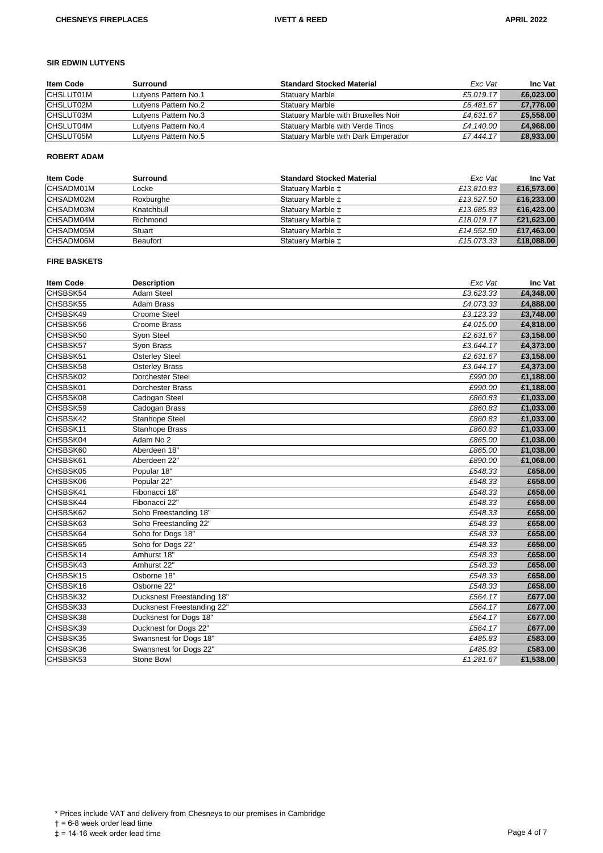# **SIR EDWIN LUTYENS**

| <b>Item Code</b> | Surround             | <b>Standard Stocked Material</b>    | Exc Vat   | <b>Inc Vat</b> |
|------------------|----------------------|-------------------------------------|-----------|----------------|
| CHSLUT01M        | Lutyens Pattern No.1 | <b>Statuary Marble</b>              | £5.019.17 | £6,023.00      |
| CHSLUT02M        | Lutyens Pattern No.2 | <b>Statuary Marble</b>              | £6.481.67 | £7.778.00      |
| CHSLUT03M        | Lutyens Pattern No.3 | Statuary Marble with Bruxelles Noir | £4.631.67 | £5,558.00      |
| <b>CHSLUT04M</b> | Lutyens Pattern No.4 | Statuary Marble with Verde Tinos    | £4,140.00 | £4.968.00      |
| <b>CHSLUT05M</b> | Lutyens Pattern No.5 | Statuary Marble with Dark Emperador | £7.444.17 | £8,933.00      |

#### **ROBERT ADAM**

| <b>Item Code</b> | Surround   | <b>Standard Stocked Material</b> | Exc Vat    | <b>Inc Vat</b> |
|------------------|------------|----------------------------------|------------|----------------|
| CHSADM01M        | Locke      | Statuary Marble $\pm$            | £13,810.83 | £16,573.00     |
| CHSADM02M        | Roxburghe  | Statuary Marble $\pm$            | £13.527.50 | £16,233.00     |
| CHSADM03M        | Knatchbull | Statuary Marble $\ddagger$       | £13.685.83 | £16,423.00     |
| CHSADM04M        | Richmond   | Statuary Marble $\pm$            | £18.019.17 | £21,623.00     |
| CHSADM05M        | Stuart     | Statuary Marble $\pm$            | £14.552.50 | £17,463.00     |
| <b>CHSADM06M</b> | Beaufort   | Statuary Marble $\ddagger$       | £15.073.33 | £18,088.00     |

## **FIRE BASKETS**

| <b>Item Code</b> | <b>Description</b>         | Exc Vat   | Inc Vat   |
|------------------|----------------------------|-----------|-----------|
| CHSBSK54         | <b>Adam Steel</b>          | £3,623.33 | £4,348.00 |
| CHSBSK55         | Adam Brass                 | £4,073.33 | £4,888.00 |
| CHSBSK49         | Croome Steel               | £3,123.33 | £3,748.00 |
| CHSBSK56         | <b>Croome Brass</b>        | £4,015.00 | £4,818.00 |
| CHSBSK50         | Syon Steel                 | £2,631.67 | £3,158.00 |
| CHSBSK57         | Syon Brass                 | £3,644.17 | £4,373.00 |
| CHSBSK51         | <b>Osterley Steel</b>      | £2,631.67 | £3,158.00 |
| CHSBSK58         | <b>Osterley Brass</b>      | £3,644.17 | £4,373.00 |
| CHSBSK02         | Dorchester Steel           | £990.00   | £1,188.00 |
| CHSBSK01         | Dorchester Brass           | £990.00   | £1,188.00 |
| CHSBSK08         | Cadogan Steel              | £860.83   | £1,033.00 |
| CHSBSK59         | Cadogan Brass              | £860.83   | £1,033.00 |
| CHSBSK42         | Stanhope Steel             | £860.83   | £1,033.00 |
| CHSBSK11         | Stanhope Brass             | £860.83   | £1,033.00 |
| CHSBSK04         | Adam No 2                  | £865.00   | £1,038.00 |
| CHSBSK60         | Aberdeen 18"               | £865.00   | £1,038.00 |
| CHSBSK61         | Aberdeen 22"               | £890.00   | £1,068.00 |
| CHSBSK05         | Popular 18"                | £548.33   | £658.00   |
| CHSBSK06         | Popular 22"                | £548.33   | £658.00   |
| CHSBSK41         | Fibonacci 18"              | £548.33   | £658.00   |
| CHSBSK44         | Fibonacci 22"              | £548.33   | £658.00   |
| CHSBSK62         | Soho Freestanding 18"      | £548.33   | £658.00   |
| CHSBSK63         | Soho Freestanding 22"      | £548.33   | £658.00   |
| CHSBSK64         | Soho for Dogs 18"          | £548.33   | £658.00   |
| CHSBSK65         | Soho for Dogs 22"          | £548.33   | £658.00   |
| CHSBSK14         | Amhurst 18"                | £548.33   | £658.00   |
| CHSBSK43         | Amhurst 22"                | £548.33   | £658.00   |
| CHSBSK15         | Osborne 18"                | £548.33   | £658.00   |
| CHSBSK16         | Osborne 22"                | £548.33   | £658.00   |
| CHSBSK32         | Ducksnest Freestanding 18" | £564.17   | £677.00   |
| CHSBSK33         | Ducksnest Freestanding 22" | £564.17   | £677.00   |
| CHSBSK38         | Ducksnest for Dogs 18"     | £564.17   | £677.00   |
| CHSBSK39         | Ducknest for Dogs 22"      | £564.17   | £677.00   |
| CHSBSK35         | Swansnest for Dogs 18"     | £485.83   | £583.00   |
| CHSBSK36         | Swansnest for Dogs 22"     | £485.83   | £583.00   |
| CHSBSK53         | Stone Bowl                 | £1,281.67 | £1,538.00 |

\* Prices include VAT and delivery from Chesneys to our premises in Cambridge

 $† = 6-8$  week order lead time

 $\uparrow$  = 0 members read time<br> $\downarrow$  = 14-16 week order lead time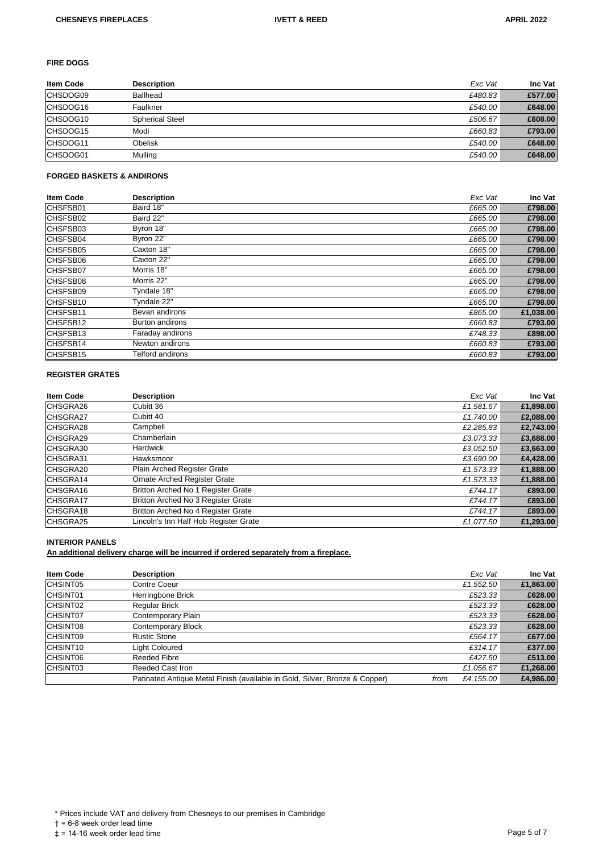#### **FIRE DOGS**

| <b>Item Code</b> | <b>Description</b>     | Exc Vat | Inc Vat |
|------------------|------------------------|---------|---------|
| CHSDOG09         | <b>Ballhead</b>        | £480.83 | £577.00 |
| CHSDOG16         | Faulkner               | £540.00 | £648.00 |
| CHSDOG10         | <b>Spherical Steel</b> | £506.67 | £608.00 |
| CHSDOG15         | Modi                   | £660.83 | £793.00 |
| CHSDOG11         | Obelisk                | £540.00 | £648.00 |
| CHSDOG01         | Mulling                | £540.00 | £648.00 |

#### **FORGED BASKETS & ANDIRONS**

| <b>Item Code</b> | <b>Description</b>     | Exc Vat | Inc Vat   |
|------------------|------------------------|---------|-----------|
| CHSFSB01         | Baird 18"              | £665.00 | £798.00   |
| CHSFSB02         | Baird 22"              | £665.00 | £798.00   |
| CHSFSB03         | Byron 18"              | £665.00 | £798.00   |
| <b>CHSFSB04</b>  | Byron 22"              | £665.00 | £798.00   |
| CHSFSB05         | Caxton 18"             | £665.00 | £798.00   |
| CHSFSB06         | Caxton 22"             | £665.00 | £798.00   |
| <b>CHSFSB07</b>  | Morris 18"             | £665.00 | £798.00   |
| <b>CHSFSB08</b>  | Morris 22"             | £665.00 | £798.00   |
| <b>CHSFSB09</b>  | Tyndale 18"            | £665.00 | £798.00   |
| CHSFSB10         | Tyndale 22"            | £665.00 | £798.00   |
| CHSFSB11         | Bevan andirons         | £865.00 | £1,038.00 |
| CHSFSB12         | <b>Burton andirons</b> | £660.83 | £793.00   |
| CHSFSB13         | Faraday andirons       | £748.33 | £898.00   |
| CHSFSB14         | Newton andirons        | £660.83 | £793.00   |
| CHSFSB15         | Telford andirons       | £660.83 | £793.00   |

#### **REGISTER GRATES**

| <b>Item Code</b> | <b>Description</b>                    | Exc Vat   | Inc Vat   |
|------------------|---------------------------------------|-----------|-----------|
| CHSGRA26         | Cubitt 36                             | £1,581.67 | £1,898.00 |
| CHSGRA27         | Cubitt 40                             | £1,740.00 | £2,088.00 |
| CHSGRA28         | Campbell                              | £2,285.83 | £2,743.00 |
| CHSGRA29         | Chamberlain                           | £3,073.33 | £3,688.00 |
| CHSGRA30         | <b>Hardwick</b>                       | £3,052.50 | £3,663.00 |
| CHSGRA31         | Hawksmoor                             | £3,690.00 | £4,428.00 |
| CHSGRA20         | Plain Arched Register Grate           | £1.573.33 | £1,888.00 |
| CHSGRA14         | <b>Ornate Arched Register Grate</b>   | £1,573.33 | £1,888.00 |
| CHSGRA16         | Britton Arched No 1 Register Grate    | £744.17   | £893.00   |
| <b>CHSGRA17</b>  | Britton Arched No 3 Register Grate    | £744.17   | £893.00   |
| CHSGRA18         | Britton Arched No 4 Register Grate    | £744.17   | £893.00   |
| CHSGRA25         | Lincoln's Inn Half Hob Register Grate | £1.077.50 | £1,293.00 |

# **INTERIOR PANELS**

**An additional delivery charge will be incurred if ordered separately from a fireplace.**

| <b>Item Code</b>     | <b>Description</b>                                                          | Exc Vat           | Inc Vat   |
|----------------------|-----------------------------------------------------------------------------|-------------------|-----------|
| CHSINT05             | Contre Coeur                                                                | £1.552.50         | £1,863.00 |
| CHSINT01             | Herringbone Brick                                                           | £523.33           | £628.00   |
| CHSINT02             | <b>Regular Brick</b>                                                        | £523.33           | £628.00   |
| <b>CHSINT07</b>      | Contemporary Plain                                                          | £523.33           | £628.00   |
| <b>CHSINT08</b>      | <b>Contemporary Block</b>                                                   | £523.33           | £628.00   |
| <b>CHSINT09</b>      | <b>Rustic Stone</b>                                                         | £564.17           | £677.00   |
| CHSINT <sub>10</sub> | Light Coloured                                                              | £314.17           | £377.00   |
| <b>CHSINT06</b>      | <b>Reeded Fibre</b>                                                         | £427.50           | £513.00   |
| CHSINT03             | Reeded Cast Iron                                                            | £1,056.67         | £1,268.00 |
|                      | Patinated Antique Metal Finish (available in Gold, Silver, Bronze & Copper) | £4,155.00<br>from | £4,986.00 |

\* Prices include VAT and delivery from Chesneys to our premises in Cambridge

† = 6-8 week order lead time

 $\uparrow$  3 c heat effect that the  $\uparrow$  14-16 week order lead time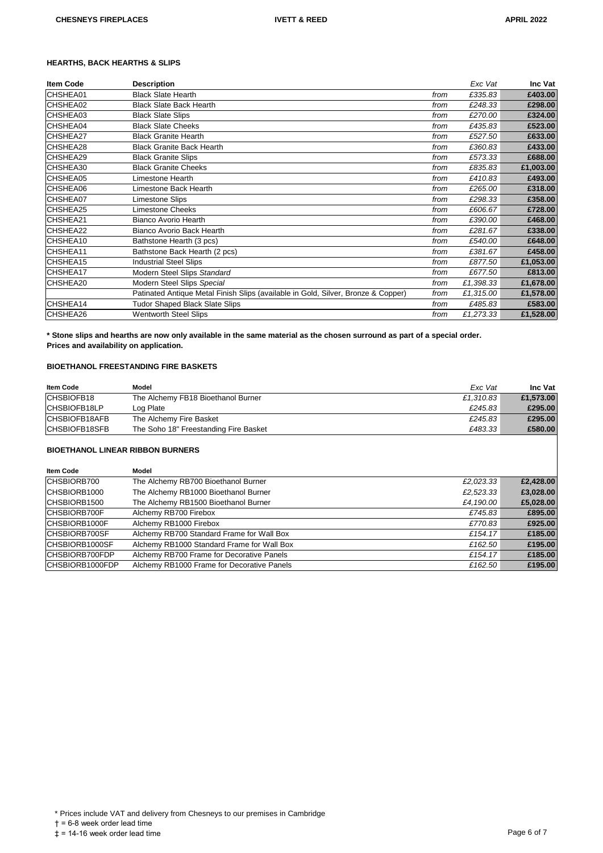# **HEARTHS, BACK HEARTHS & SLIPS**

| <b>Item Code</b> | <b>Description</b>                                                                |      | Exc Vat   | Inc Vat   |
|------------------|-----------------------------------------------------------------------------------|------|-----------|-----------|
| CHSHEA01         | <b>Black Slate Hearth</b>                                                         | from | £335.83   | £403.00   |
| CHSHEA02         | <b>Black Slate Back Hearth</b>                                                    | from | £248.33   | £298.00   |
| CHSHEA03         | <b>Black Slate Slips</b>                                                          | from | £270.00   | £324.00   |
| <b>CHSHEA04</b>  | <b>Black Slate Cheeks</b>                                                         | from | £435.83   | £523.00   |
| CHSHEA27         | <b>Black Granite Hearth</b>                                                       | from | £527.50   | £633.00   |
| ICHSHEA28        | <b>Black Granite Back Hearth</b>                                                  | from | £360.83   | £433.00   |
| CHSHEA29         | <b>Black Granite Slips</b>                                                        | from | £573.33   | £688.00   |
| CHSHEA30         | <b>Black Granite Cheeks</b>                                                       | from | £835.83   | £1,003.00 |
| CHSHEA05         | Limestone Hearth                                                                  | from | £410.83   | £493.00   |
| CHSHEA06         | Limestone Back Hearth                                                             | from | £265.00   | £318.00   |
| <b>CHSHEA07</b>  | <b>Limestone Slips</b>                                                            | from | £298.33   | £358.00   |
| CHSHEA25         | <b>Limestone Cheeks</b>                                                           | from | £606.67   | £728.00   |
| CHSHEA21         | <b>Bianco Avorio Hearth</b>                                                       | from | £390.00   | £468.00   |
| CHSHEA22         | Bianco Avorio Back Hearth                                                         | from | £281.67   | £338.00   |
| CHSHEA10         | Bathstone Hearth (3 pcs)                                                          | from | £540.00   | £648.00   |
| ICHSHEA11        | Bathstone Back Hearth (2 pcs)                                                     | from | £381.67   | £458.00   |
| CHSHEA15         | <b>Industrial Steel Slips</b>                                                     | from | £877.50   | £1,053.00 |
| CHSHEA17         | Modern Steel Slips Standard                                                       | from | £677.50   | £813.00   |
| CHSHEA20         | Modern Steel Slips Special                                                        | from | £1,398.33 | £1,678.00 |
|                  | Patinated Antique Metal Finish Slips (available in Gold, Silver, Bronze & Copper) | from | £1,315.00 | £1,578.00 |
| CHSHEA14         | <b>Tudor Shaped Black Slate Slips</b>                                             | from | £485.83   | £583.00   |
| CHSHEA26         | <b>Wentworth Steel Slips</b>                                                      | from | £1.273.33 | £1,528.00 |

**\* Stone slips and hearths are now only available in the same material as the chosen surround as part of a special order. Prices and availability on application.**

# **BIOETHANOL FREESTANDING FIRE BASKETS**

| <b>Item Code</b> | Model                                 | Exc Vat   | Inc Vat   |
|------------------|---------------------------------------|-----------|-----------|
| CHSBIOFB18       | The Alchemy FB18 Bioethanol Burner    | £1.310.83 | £1,573.00 |
| CHSBIOFB18LP     | Log Plate                             | £245.83   | £295.00   |
| CHSBIOFB18AFB    | The Alchemy Fire Basket               | £245.83   | £295.00   |
| CHSBIOFB18SFB    | The Soho 18" Freestanding Fire Basket | £483.33   | £580.00   |

#### **BIOETHANOL LINEAR RIBBON BURNERS**

| <b>Item Code</b>    | Model                                      |           |           |
|---------------------|--------------------------------------------|-----------|-----------|
| CHSBIORB700         | The Alchemy RB700 Bioethanol Burner        | £2.023.33 | £2,428.00 |
| CHSBIORB1000        | The Alchemy RB1000 Bioethanol Burner       | £2,523.33 | £3,028.00 |
| ICHSBIORB1500       | The Alchemy RB1500 Bioethanol Burner       | £4,190.00 | £5,028.00 |
| <b>CHSBIORB700F</b> | Alchemy RB700 Firebox                      | £745.83   | £895.00   |
| ICHSBIORB1000F      | Alchemy RB1000 Firebox                     | £770.83   | £925.00   |
| ICHSBIORB700SF      | Alchemy RB700 Standard Frame for Wall Box  | £154.17   | £185.00   |
| ICHSBIORB1000SF     | Alchemy RB1000 Standard Frame for Wall Box | £162.50   | £195.00   |
| CHSBIORB700FDP      | Alchemy RB700 Frame for Decorative Panels  | £154.17   | £185.00   |
| CHSBIORB1000FDP     | Alchemy RB1000 Frame for Decorative Panels | £162.50   | £195.00   |

\* Prices include VAT and delivery from Chesneys to our premises in Cambridge

† = 6-8 week order lead time

 $\ddagger$  = 14-16 week order lead time  $\ddagger$